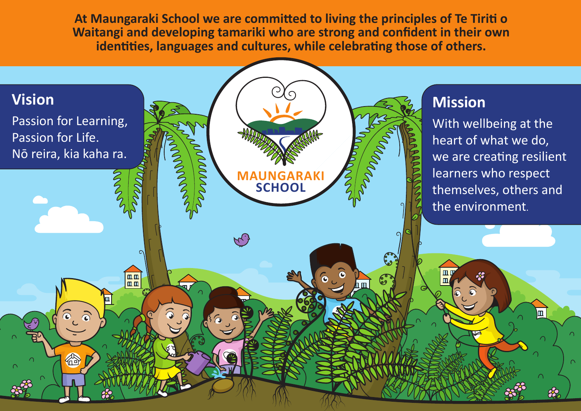**At Maungaraki School we are committed to living the principles of Te Tiriti o Waitangi and developing tamariki who are strong and confident in their own identities, languages and cultures, while celebrating those of others.**

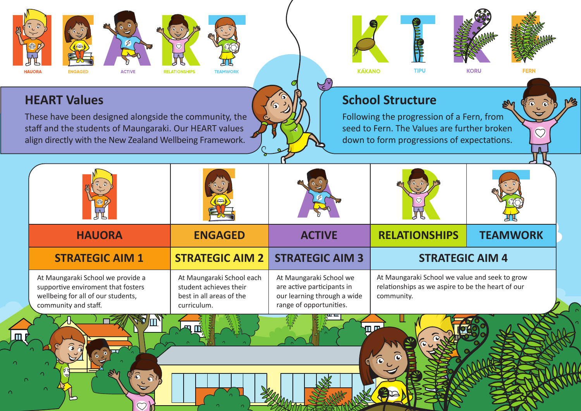

# **HEART Values**

These have been designed alongside the community, the staff and the students of Maungaraki. Our HEART values align directly with the New Zealand Wellbeing Framework.

## **School Structure**

KAKANO

u r

Following the progression of a Fern, from seed to Fern. The Values are further broken down to form progressions of expectations.

**TIPU** 

**KORU** 

**FERN** 

بالك

| <b>HAUORA</b>                                                                                                                         | <b>ENGAGED</b>                                                                                 | <b>ACTIVE</b>                                                                                                   | <b>RELATIONSHIPS</b>                                                                                              | <b>TEAMWORK</b> |
|---------------------------------------------------------------------------------------------------------------------------------------|------------------------------------------------------------------------------------------------|-----------------------------------------------------------------------------------------------------------------|-------------------------------------------------------------------------------------------------------------------|-----------------|
| <b>STRATEGIC AIM 1</b>                                                                                                                | <b>STRATEGIC AIM 2</b>                                                                         | <b>STRATEGIC AIM 3</b>                                                                                          | <b>STRATEGIC AIM 4</b>                                                                                            |                 |
| At Maungaraki School we provide a<br>supportive enviroment that fosters<br>wellbeing for all of our students,<br>community and staff. | At Maungaraki School each<br>student achieves their<br>best in all areas of the<br>curriculum. | At Maungaraki School we<br>are active participants in<br>our learning through a wide<br>range of opportunities. | At Maungaraki School we value and seek to grow<br>relationships as we aspire to be the heart of our<br>community. |                 |